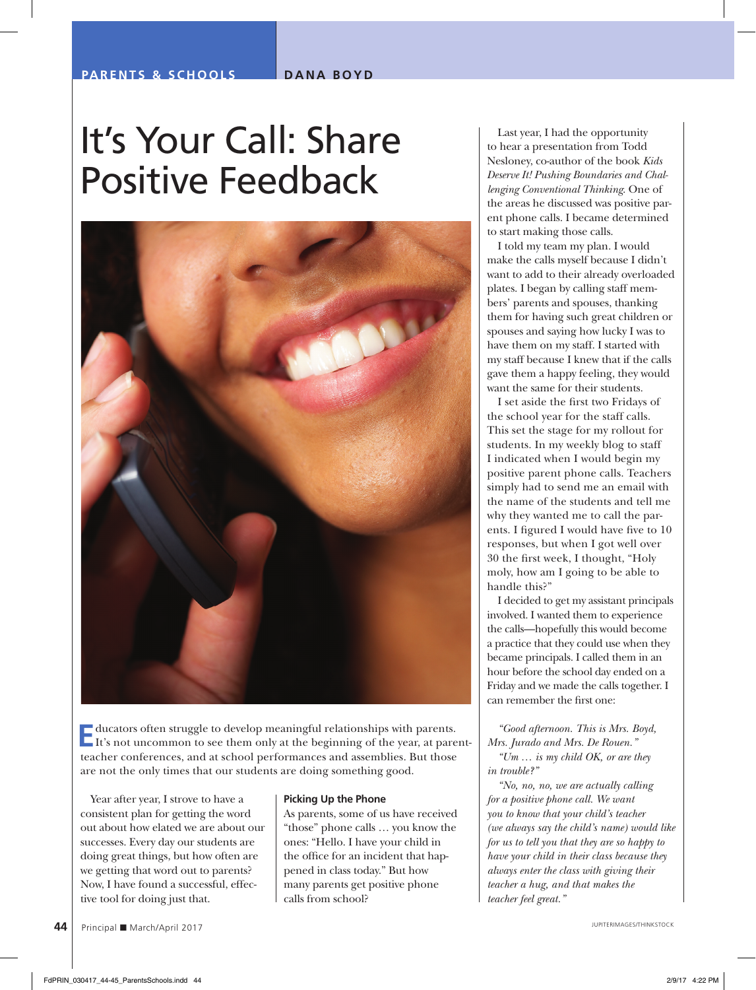# It's Your Call: Share Positive Feedback



**E**ducators often struggle to develop meaningful relationships with parents. It's not uncommon to see them only at the beginning of the year, at parentteacher conferences, and at school performances and assemblies. But those are not the only times that our students are doing something good.

Year after year, I strove to have a consistent plan for getting the word out about how elated we are about our successes. Every day our students are doing great things, but how often are we getting that word out to parents? Now, I have found a successful, effective tool for doing just that.

#### **Picking Up the Phone**

As parents, some of us have received "those" phone calls … you know the ones: "Hello. I have your child in the office for an incident that happened in class today." But how many parents get positive phone calls from school?

Last year, I had the opportunity to hear a presentation from Todd Nesloney, co-author of the book *Kids Deserve It! Pushing Boundaries and Challenging Conventional Thinking*. One of the areas he discussed was positive parent phone calls. I became determined to start making those calls.

I told my team my plan. I would make the calls myself because I didn't want to add to their already overloaded plates. I began by calling staff members' parents and spouses, thanking them for having such great children or spouses and saying how lucky I was to have them on my staff. I started with my staff because I knew that if the calls gave them a happy feeling, they would want the same for their students.

I set aside the first two Fridays of the school year for the staff calls. This set the stage for my rollout for students. In my weekly blog to staff I indicated when I would begin my positive parent phone calls. Teachers simply had to send me an email with the name of the students and tell me why they wanted me to call the parents. I figured I would have five to 10 responses, but when I got well over 30 the first week, I thought, "Holy moly, how am I going to be able to handle this?"

I decided to get my assistant principals involved. I wanted them to experience the calls—hopefully this would become a practice that they could use when they became principals. I called them in an hour before the school day ended on a Friday and we made the calls together. I can remember the first one:

*"Good afternoon. This is Mrs. Boyd, Mrs. Jurado and Mrs. De Rouen."* 

*"Um … is my child OK, or are they in trouble?"* 

*"No, no, no, we are actually calling for a positive phone call. We want you to know that your child's teacher (we always say the child's name) would like for us to tell you that they are so happy to have your child in their class because they always enter the class with giving their teacher a hug, and that makes the teacher feel great."*